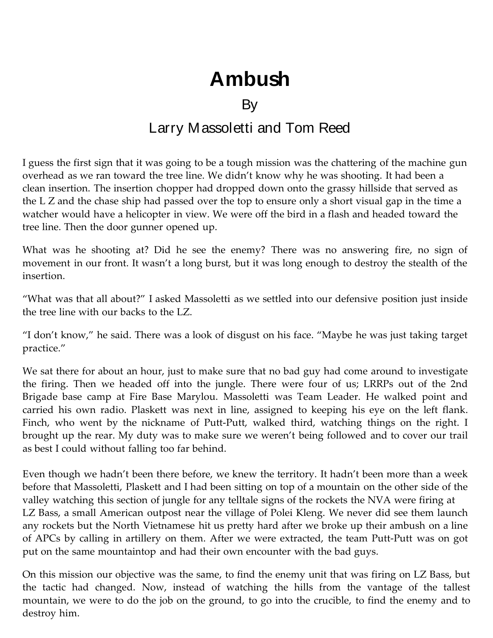## **Ambush**

## **By**

## Larry Massoletti and Tom Reed

I guess the first sign that it was going to be a tough mission was the chattering of the machine gun overhead as we ran toward the tree line. We didn't know why he was shooting. It had been a clean insertion. The insertion chopper had dropped down onto the grassy hillside that served as the L Z and the chase ship had passed over the top to ensure only a short visual gap in the time a watcher would have a helicopter in view. We were off the bird in a flash and headed toward the tree line. Then the door gunner opened up.

What was he shooting at? Did he see the enemy? There was no answering fire, no sign of movement in our front. It wasn't a long burst, but it was long enough to destroy the stealth of the insertion.

"What was that all about?" I asked Massoletti as we settled into our defensive position just inside the tree line with our backs to the LZ.

"I don't know," he said. There was a look of disgust on his face. "Maybe he was just taking target practice."

We sat there for about an hour, just to make sure that no bad guy had come around to investigate the firing. Then we headed off into the jungle. There were four of us; LRRPs out of the 2nd Brigade base camp at Fire Base Marylou. Massoletti was Team Leader. He walked point and carried his own radio. Plaskett was next in line, assigned to keeping his eye on the left flank. Finch, who went by the nickname of Putt-Putt, walked third, watching things on the right. I brought up the rear. My duty was to make sure we weren't being followed and to cover our trail as best I could without falling too far behind.

Even though we hadn't been there before, we knew the territory. It hadn't been more than a week before that Massoletti, Plaskett and I had been sitting on top of a mountain on the other side of the valley watching this section of jungle for any telltale signs of the rockets the NVA were firing at LZ Bass, a small American outpost near the village of Polei Kleng. We never did see them launch any rockets but the North Vietnamese hit us pretty hard after we broke up their ambush on a line of APCs by calling in artillery on them. After we were extracted, the team Putt‑Putt was on got put on the same mountaintop and had their own encounter with the bad guys.

On this mission our objective was the same, to find the enemy unit that was firing on LZ Bass, but the tactic had changed. Now, instead of watching the hills from the vantage of the tallest mountain, we were to do the job on the ground, to go into the crucible, to find the enemy and to destroy him.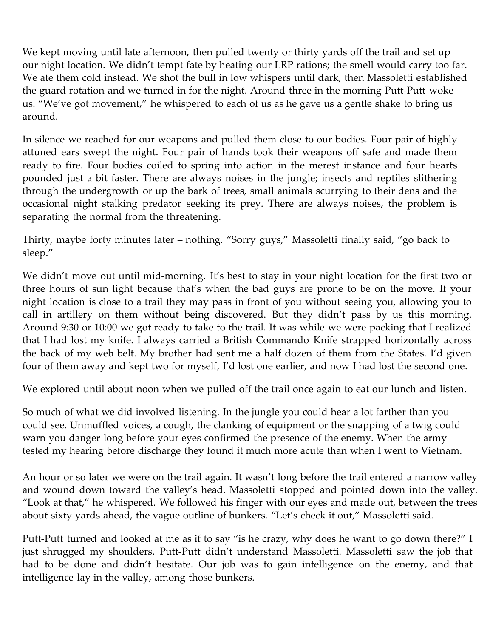We kept moving until late afternoon, then pulled twenty or thirty yards off the trail and set up our night location. We didn't tempt fate by heating our LRP rations; the smell would carry too far. We ate them cold instead. We shot the bull in low whispers until dark, then Massoletti established the guard rotation and we turned in for the night. Around three in the morning Putt-Putt woke us. "We've got movement," he whispered to each of us as he gave us a gentle shake to bring us around.

In silence we reached for our weapons and pulled them close to our bodies. Four pair of highly attuned ears swept the night. Four pair of hands took their weapons off safe and made them ready to fire. Four bodies coiled to spring into action in the merest instance and four hearts pounded just a bit faster. There are always noises in the jungle; insects and reptiles slithering through the undergrowth or up the bark of trees, small animals scurrying to their dens and the occasional night stalking predator seeking its prey. There are always noises, the problem is separating the normal from the threatening.

Thirty, maybe forty minutes later – nothing. "Sorry guys," Massoletti finally said, "go back to sleep."

We didn't move out until mid-morning. It's best to stay in your night location for the first two or three hours of sun light because that's when the bad guys are prone to be on the move. If your night location is close to a trail they may pass in front of you without seeing you, allowing you to call in artillery on them without being discovered. But they didn't pass by us this morning. Around 9:30 or 10:00 we got ready to take to the trail. It was while we were packing that I realized that I had lost my knife. I always carried a British Commando Knife strapped horizontally across the back of my web belt. My brother had sent me a half dozen of them from the States. I'd given four of them away and kept two for myself, I'd lost one earlier, and now I had lost the second one.

We explored until about noon when we pulled off the trail once again to eat our lunch and listen.

So much of what we did involved listening. In the jungle you could hear a lot farther than you could see. Unmuffled voices, a cough, the clanking of equipment or the snapping of a twig could warn you danger long before your eyes confirmed the presence of the enemy. When the army tested my hearing before discharge they found it much more acute than when I went to Vietnam.

An hour or so later we were on the trail again. It wasn't long before the trail entered a narrow valley and wound down toward the valley's head. Massoletti stopped and pointed down into the valley. "Look at that," he whispered. We followed his finger with our eyes and made out, between the trees about sixty yards ahead, the vague outline of bunkers. "Let's check it out," Massoletti said.

Putt-Putt turned and looked at me as if to say "is he crazy, why does he want to go down there?" I just shrugged my shoulders. Putt-Putt didn't understand Massoletti. Massoletti saw the job that had to be done and didn't hesitate. Our job was to gain intelligence on the enemy, and that intelligence lay in the valley, among those bunkers.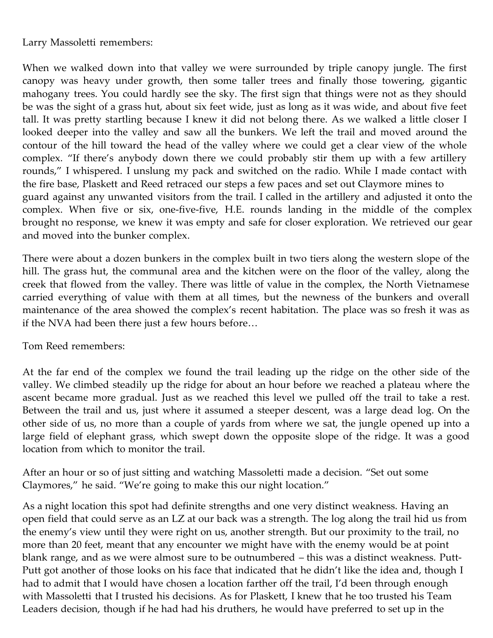Larry Massoletti remembers:

When we walked down into that valley we were surrounded by triple canopy jungle. The first canopy was heavy under growth, then some taller trees and finally those towering, gigantic mahogany trees. You could hardly see the sky. The first sign that things were not as they should be was the sight of a grass hut, about six feet wide, just as long as it was wide, and about five feet tall. It was pretty startling because I knew it did not belong there. As we walked a little closer I looked deeper into the valley and saw all the bunkers. We left the trail and moved around the contour of the hill toward the head of the valley where we could get a clear view of the whole complex. "If there's anybody down there we could probably stir them up with a few artillery rounds," I whispered. I unslung my pack and switched on the radio. While I made contact with the fire base, Plaskett and Reed retraced our steps a few paces and set out Claymore mines to guard against any unwanted visitors from the trail. I called in the artillery and adjusted it onto the complex. When five or six, one-five-five, H.E. rounds landing in the middle of the complex brought no response, we knew it was empty and safe for closer exploration. We retrieved our gear and moved into the bunker complex.

There were about a dozen bunkers in the complex built in two tiers along the western slope of the hill. The grass hut, the communal area and the kitchen were on the floor of the valley, along the creek that flowed from the valley. There was little of value in the complex, the North Vietnamese carried everything of value with them at all times, but the newness of the bunkers and overall maintenance of the area showed the complex's recent habitation. The place was so fresh it was as if the NVA had been there just a few hours before…

## Tom Reed remembers:

At the far end of the complex we found the trail leading up the ridge on the other side of the valley. We climbed steadily up the ridge for about an hour before we reached a plateau where the ascent became more gradual. Just as we reached this level we pulled off the trail to take a rest. Between the trail and us, just where it assumed a steeper descent, was a large dead log. On the other side of us, no more than a couple of yards from where we sat, the jungle opened up into a large field of elephant grass, which swept down the opposite slope of the ridge. It was a good location from which to monitor the trail.

After an hour or so of just sitting and watching Massoletti made a decision. "Set out some Claymores," he said. "We're going to make this our night location."

As a night location this spot had definite strengths and one very distinct weakness. Having an open field that could serve as an LZ at our back was a strength. The log along the trail hid us from the enemy's view until they were right on us, another strength. But our proximity to the trail, no more than 20 feet, meant that any encounter we might have with the enemy would be at point blank range, and as we were almost sure to be outnumbered - this was a distinct weakness. Putt-Putt got another of those looks on his face that indicated that he didn't like the idea and, though I had to admit that I would have chosen a location farther off the trail, I'd been through enough with Massoletti that I trusted his decisions. As for Plaskett, I knew that he too trusted his Team Leaders decision, though if he had had his druthers, he would have preferred to set up in the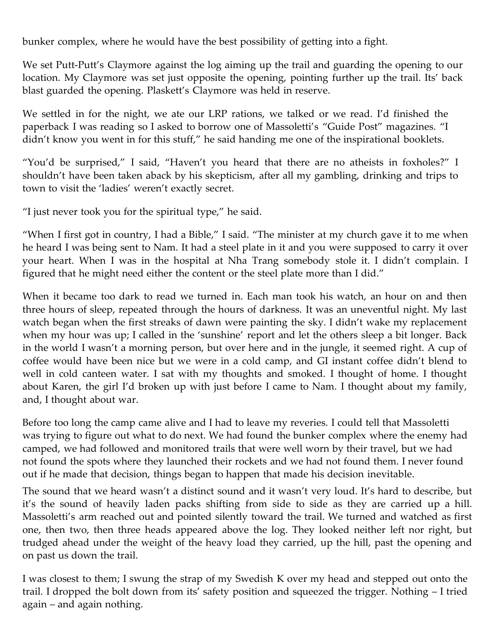bunker complex, where he would have the best possibility of getting into a fight.

We set Putt-Putt's Claymore against the log aiming up the trail and guarding the opening to our location. My Claymore was set just opposite the opening, pointing further up the trail. Its' back blast guarded the opening. Plaskett's Claymore was held in reserve.

We settled in for the night, we ate our LRP rations, we talked or we read. I'd finished the paperback I was reading so I asked to borrow one of Massoletti's "Guide Post" magazines. "I didn't know you went in for this stuff," he said handing me one of the inspirational booklets.

"You'd be surprised," I said, "Haven't you heard that there are no atheists in foxholes?" I shouldn't have been taken aback by his skepticism, after all my gambling, drinking and trips to town to visit the 'ladies' weren't exactly secret.

"I just never took you for the spiritual type," he said.

"When I first got in country, I had a Bible," I said. "The minister at my church gave it to me when he heard I was being sent to Nam. It had a steel plate in it and you were supposed to carry it over your heart. When I was in the hospital at Nha Trang somebody stole it. I didn't complain. I figured that he might need either the content or the steel plate more than I did."

When it became too dark to read we turned in. Each man took his watch, an hour on and then three hours of sleep, repeated through the hours of darkness. It was an uneventful night. My last watch began when the first streaks of dawn were painting the sky. I didn't wake my replacement when my hour was up; I called in the 'sunshine' report and let the others sleep a bit longer. Back in the world I wasn't a morning person, but over here and in the jungle, it seemed right. A cup of coffee would have been nice but we were in a cold camp, and GI instant coffee didn't blend to well in cold canteen water. I sat with my thoughts and smoked. I thought of home. I thought about Karen, the girl I'd broken up with just before I came to Nam. I thought about my family, and, I thought about war.

Before too long the camp came alive and I had to leave my reveries. I could tell that Massoletti was trying to figure out what to do next. We had found the bunker complex where the enemy had camped, we had followed and monitored trails that were well worn by their travel, but we had not found the spots where they launched their rockets and we had not found them. I never found out if he made that decision, things began to happen that made his decision inevitable.

The sound that we heard wasn't a distinct sound and it wasn't very loud. It's hard to describe, but it's the sound of heavily laden packs shifting from side to side as they are carried up a hill. Massoletti's arm reached out and pointed silently toward the trail. We turned and watched as first one, then two, then three heads appeared above the log. They looked neither left nor right, but trudged ahead under the weight of the heavy load they carried, up the hill, past the opening and on past us down the trail.

I was closest to them; I swung the strap of my Swedish K over my head and stepped out onto the trail. I dropped the bolt down from its' safety position and squeezed the trigger. Nothing – I tried again – and again nothing.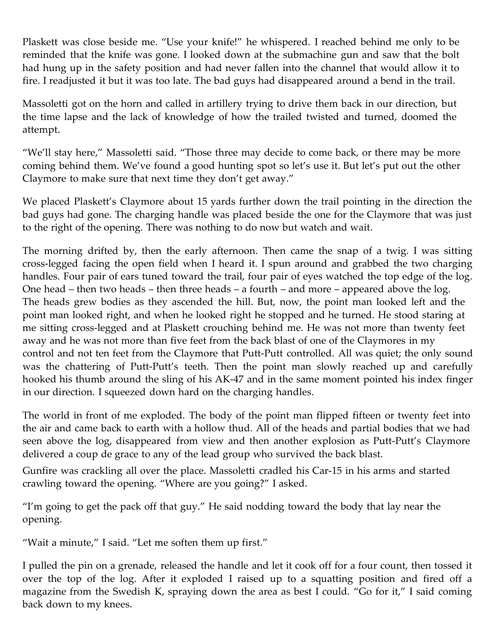Plaskett was close beside me. "Use your knife!" he whispered. I reached behind me only to be reminded that the knife was gone. I looked down at the submachine gun and saw that the bolt had hung up in the safety position and had never fallen into the channel that would allow it to fire. I readjusted it but it was too late. The bad guys had disappeared around a bend in the trail.

Massoletti got on the horn and called in artillery trying to drive them back in our direction, but the time lapse and the lack of knowledge of how the trailed twisted and turned, doomed the attempt.

"We'll stay here," Massoletti said. "Those three may decide to come back, or there may be more coming behind them. We've found a good hunting spot so let's use it. But let's put out the other Claymore to make sure that next time they don't get away."

We placed Plaskett's Claymore about 15 yards further down the trail pointing in the direction the bad guys had gone. The charging handle was placed beside the one for the Claymore that was just to the right of the opening. There was nothing to do now but watch and wait.

The morning drifted by, then the early afternoon. Then came the snap of a twig. I was sitting cross‑legged facing the open field when I heard it. I spun around and grabbed the two charging handles. Four pair of ears tuned toward the trail, four pair of eyes watched the top edge of the log. One head – then two heads – then three heads – a fourth – and more – appeared above the log. The heads grew bodies as they ascended the hill. But, now, the point man looked left and the point man looked right, and when he looked right he stopped and he turned. He stood staring at me sitting cross‑legged and at Plaskett crouching behind me. He was not more than twenty feet away and he was not more than five feet from the back blast of one of the Claymores in my control and not ten feet from the Claymore that Putt-Putt controlled. All was quiet; the only sound was the chattering of Putt-Putt's teeth. Then the point man slowly reached up and carefully hooked his thumb around the sling of his AK‑47 and in the same moment pointed his index finger in our direction. I squeezed down hard on the charging handles.

The world in front of me exploded. The body of the point man flipped fifteen or twenty feet into the air and came back to earth with a hollow thud. All of the heads and partial bodies that we had seen above the log, disappeared from view and then another explosion as Putt-Putt's Claymore delivered a coup de grace to any of the lead group who survived the back blast.

Gunfire was crackling all over the place. Massoletti cradled his Car‑15 in his arms and started crawling toward the opening. "Where are you going?" I asked.

"I'm going to get the pack off that guy." He said nodding toward the body that lay near the opening.

"Wait a minute," I said. "Let me soften them up first."

I pulled the pin on a grenade, released the handle and let it cook off for a four count, then tossed it over the top of the log. After it exploded I raised up to a squatting position and fired off a magazine from the Swedish K, spraying down the area as best I could. "Go for it," I said coming back down to my knees.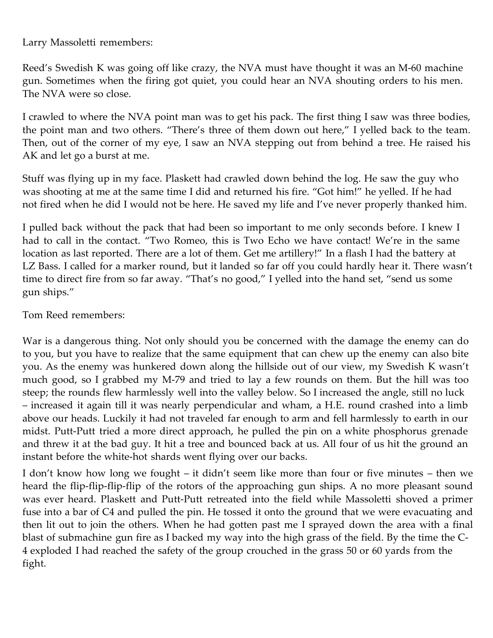Larry Massoletti remembers:

Reed's Swedish K was going off like crazy, the NVA must have thought it was an M‑60 machine gun. Sometimes when the firing got quiet, you could hear an NVA shouting orders to his men. The NVA were so close.

I crawled to where the NVA point man was to get his pack. The first thing I saw was three bodies, the point man and two others. "There's three of them down out here," I yelled back to the team. Then, out of the corner of my eye, I saw an NVA stepping out from behind a tree. He raised his AK and let go a burst at me.

Stuff was flying up in my face. Plaskett had crawled down behind the log. He saw the guy who was shooting at me at the same time I did and returned his fire. "Got him!" he yelled. If he had not fired when he did I would not be here. He saved my life and I've never properly thanked him.

I pulled back without the pack that had been so important to me only seconds before. I knew I had to call in the contact. "Two Romeo, this is Two Echo we have contact! We're in the same location as last reported. There are a lot of them. Get me artillery!" In a flash I had the battery at LZ Bass. I called for a marker round, but it landed so far off you could hardly hear it. There wasn't time to direct fire from so far away. "That's no good," I yelled into the hand set, "send us some gun ships."

Tom Reed remembers:

War is a dangerous thing. Not only should you be concerned with the damage the enemy can do to you, but you have to realize that the same equipment that can chew up the enemy can also bite you. As the enemy was hunkered down along the hillside out of our view, my Swedish K wasn't much good, so I grabbed my M‑79 and tried to lay a few rounds on them. But the hill was too steep; the rounds flew harmlessly well into the valley below. So I increased the angle, still no luck – increased it again till it was nearly perpendicular and wham, a H.E. round crashed into a limb above our heads. Luckily it had not traveled far enough to arm and fell harmlessly to earth in our midst. Putt-Putt tried a more direct approach, he pulled the pin on a white phosphorus grenade and threw it at the bad guy. It hit a tree and bounced back at us. All four of us hit the ground an instant before the white-hot shards went flying over our backs.

I don't know how long we fought – it didn't seem like more than four or five minutes – then we heard the flip-flip-flip-flip of the rotors of the approaching gun ships. A no more pleasant sound was ever heard. Plaskett and Putt-Putt retreated into the field while Massoletti shoved a primer fuse into a bar of C4 and pulled the pin. He tossed it onto the ground that we were evacuating and then lit out to join the others. When he had gotten past me I sprayed down the area with a final blast of submachine gun fire as I backed my way into the high grass of the field. By the time the C-4 exploded I had reached the safety of the group crouched in the grass 50 or 60 yards from the fight.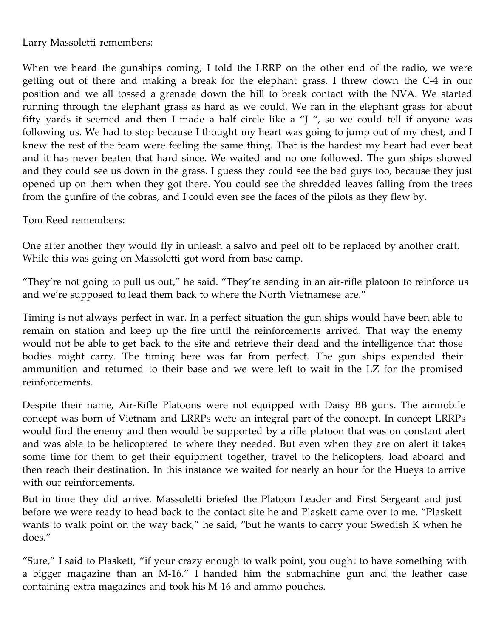Larry Massoletti remembers:

When we heard the gunships coming, I told the LRRP on the other end of the radio, we were getting out of there and making a break for the elephant grass. I threw down the C‑4 in our position and we all tossed a grenade down the hill to break contact with the NVA. We started running through the elephant grass as hard as we could. We ran in the elephant grass for about fifty yards it seemed and then I made a half circle like a "J ", so we could tell if anyone was following us. We had to stop because I thought my heart was going to jump out of my chest, and I knew the rest of the team were feeling the same thing. That is the hardest my heart had ever beat and it has never beaten that hard since. We waited and no one followed. The gun ships showed and they could see us down in the grass. I guess they could see the bad guys too, because they just opened up on them when they got there. You could see the shredded leaves falling from the trees from the gunfire of the cobras, and I could even see the faces of the pilots as they flew by.

Tom Reed remembers:

One after another they would fly in unleash a salvo and peel off to be replaced by another craft. While this was going on Massoletti got word from base camp.

"They're not going to pull us out," he said. "They're sending in an air‑rifle platoon to reinforce us and we're supposed to lead them back to where the North Vietnamese are."

Timing is not always perfect in war. In a perfect situation the gun ships would have been able to remain on station and keep up the fire until the reinforcements arrived. That way the enemy would not be able to get back to the site and retrieve their dead and the intelligence that those bodies might carry. The timing here was far from perfect. The gun ships expended their ammunition and returned to their base and we were left to wait in the LZ for the promised reinforcements.

Despite their name, Air-Rifle Platoons were not equipped with Daisy BB guns. The airmobile concept was born of Vietnam and LRRPs were an integral part of the concept. In concept LRRPs would find the enemy and then would be supported by a rifle platoon that was on constant alert and was able to be helicoptered to where they needed. But even when they are on alert it takes some time for them to get their equipment together, travel to the helicopters, load aboard and then reach their destination. In this instance we waited for nearly an hour for the Hueys to arrive with our reinforcements.

But in time they did arrive. Massoletti briefed the Platoon Leader and First Sergeant and just before we were ready to head back to the contact site he and Plaskett came over to me. "Plaskett wants to walk point on the way back," he said, "but he wants to carry your Swedish K when he does."

"Sure," I said to Plaskett, "if your crazy enough to walk point, you ought to have something with a bigger magazine than an M‑16." I handed him the submachine gun and the leather case containing extra magazines and took his M‑16 and ammo pouches.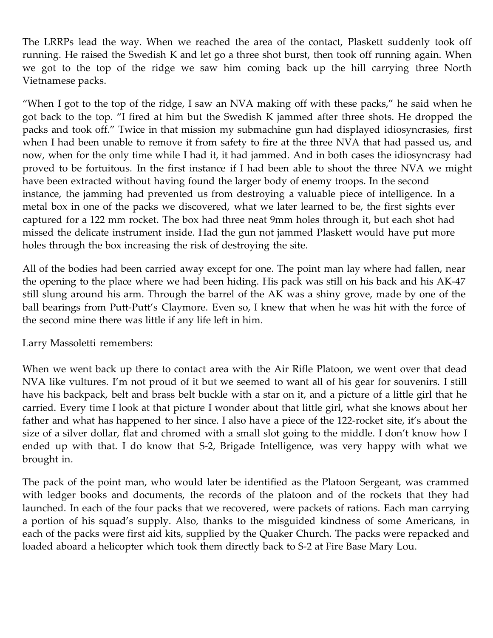The LRRPs lead the way. When we reached the area of the contact, Plaskett suddenly took off running. He raised the Swedish K and let go a three shot burst, then took off running again. When we got to the top of the ridge we saw him coming back up the hill carrying three North Vietnamese packs.

"When I got to the top of the ridge, I saw an NVA making off with these packs," he said when he got back to the top. "I fired at him but the Swedish K jammed after three shots. He dropped the packs and took off." Twice in that mission my submachine gun had displayed idiosyncrasies, first when I had been unable to remove it from safety to fire at the three NVA that had passed us, and now, when for the only time while I had it, it had jammed. And in both cases the idiosyncrasy had proved to be fortuitous. In the first instance if I had been able to shoot the three NVA we might have been extracted without having found the larger body of enemy troops. In the second instance, the jamming had prevented us from destroying a valuable piece of intelligence. In a metal box in one of the packs we discovered, what we later learned to be, the first sights ever captured for a 122 mm rocket. The box had three neat 9mm holes through it, but each shot had missed the delicate instrument inside. Had the gun not jammed Plaskett would have put more holes through the box increasing the risk of destroying the site.

All of the bodies had been carried away except for one. The point man lay where had fallen, near the opening to the place where we had been hiding. His pack was still on his back and his AK‑47 still slung around his arm. Through the barrel of the AK was a shiny grove, made by one of the ball bearings from Putt-Putt's Claymore. Even so, I knew that when he was hit with the force of the second mine there was little if any life left in him.

Larry Massoletti remembers:

When we went back up there to contact area with the Air Rifle Platoon, we went over that dead NVA like vultures. I'm not proud of it but we seemed to want all of his gear for souvenirs. I still have his backpack, belt and brass belt buckle with a star on it, and a picture of a little girl that he carried. Every time I look at that picture I wonder about that little girl, what she knows about her father and what has happened to her since. I also have a piece of the 122-rocket site, it's about the size of a silver dollar, flat and chromed with a small slot going to the middle. I don't know how I ended up with that. I do know that S-2, Brigade Intelligence, was very happy with what we brought in.

The pack of the point man, who would later be identified as the Platoon Sergeant, was crammed with ledger books and documents, the records of the platoon and of the rockets that they had launched. In each of the four packs that we recovered, were packets of rations. Each man carrying a portion of his squad's supply. Also, thanks to the misguided kindness of some Americans, in each of the packs were first aid kits, supplied by the Quaker Church. The packs were repacked and loaded aboard a helicopter which took them directly back to S‑2 at Fire Base Mary Lou.